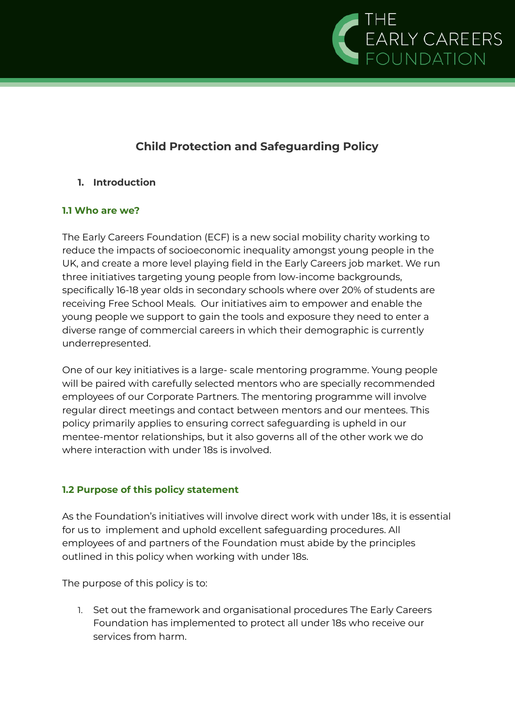

## **Child Protection and Safeguarding Policy**

## **1. Introduction**

## **1.1 Who are we?**

The Early Careers Foundation (ECF) is a new social mobility charity working to reduce the impacts of socioeconomic inequality amongst young people in the UK, and create a more level playing field in the Early Careers job market. We run three initiatives targeting young people from low-income backgrounds, specifically 16-18 year olds in secondary schools where over 20% of students are receiving Free School Meals. Our initiatives aim to empower and enable the young people we support to gain the tools and exposure they need to enter a diverse range of commercial careers in which their demographic is currently underrepresented.

One of our key initiatives is a large- scale mentoring programme. Young people will be paired with carefully selected mentors who are specially recommended employees of our Corporate Partners. The mentoring programme will involve regular direct meetings and contact between mentors and our mentees. This policy primarily applies to ensuring correct safeguarding is upheld in our mentee-mentor relationships, but it also governs all of the other work we do where interaction with under 18s is involved.

## **1.2 Purpose of this policy statement**

As the Foundation's initiatives will involve direct work with under 18s, it is essential for us to implement and uphold excellent safeguarding procedures. All employees of and partners of the Foundation must abide by the principles outlined in this policy when working with under 18s.

The purpose of this policy is to:

1. Set out the framework and organisational procedures The Early Careers Foundation has implemented to protect all under 18s who receive our services from harm.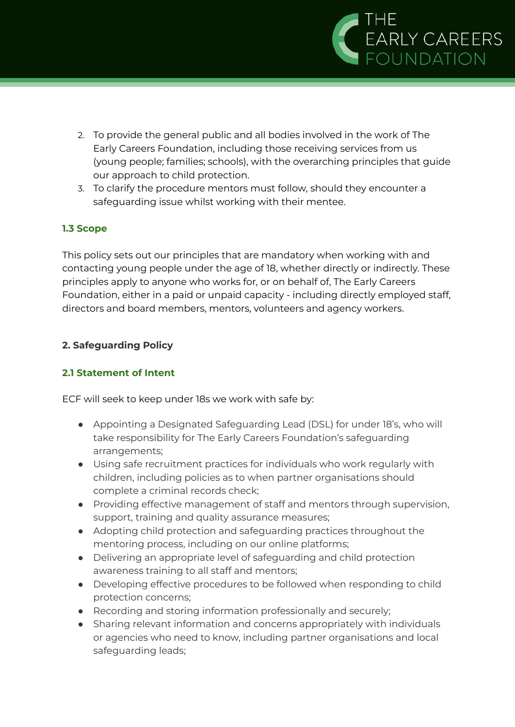

- 2. To provide the general public and all bodies involved in the work of The Early Careers Foundation, including those receiving services from us (young people; families; schools), with the overarching principles that guide our approach to child protection.
- 3. To clarify the procedure mentors must follow, should they encounter a safeguarding issue whilst working with their mentee.

## **1.3 Scope**

This policy sets out our principles that are mandatory when working with and contacting young people under the age of 18, whether directly or indirectly. These principles apply to anyone who works for, or on behalf of, The Early Careers Foundation, either in a paid or unpaid capacity - including directly employed staff, directors and board members, mentors, volunteers and agency workers.

## **2. Safeguarding Policy**

## **2.1 Statement of Intent**

ECF will seek to keep under 18s we work with safe by:

- Appointing a Designated Safeguarding Lead (DSL) for under 18's, who will take responsibility for The Early Careers Foundation's safeguarding arrangements;
- Using safe recruitment practices for individuals who work regularly with children, including policies as to when partner organisations should complete a criminal records check;
- Providing effective management of staff and mentors through supervision, support, training and quality assurance measures;
- Adopting child protection and safeguarding practices throughout the mentoring process, including on our online platforms;
- Delivering an appropriate level of safeguarding and child protection awareness training to all staff and mentors;
- Developing effective procedures to be followed when responding to child protection concerns;
- Recording and storing information professionally and securely;
- Sharing relevant information and concerns appropriately with individuals or agencies who need to know, including partner organisations and local safeguarding leads;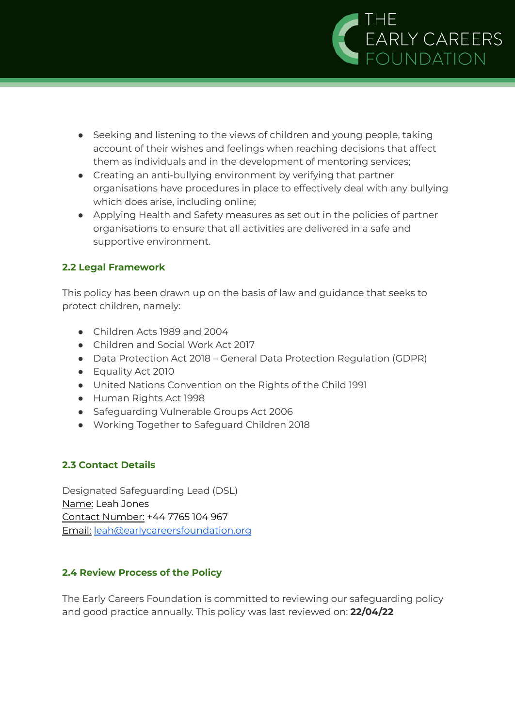

- Seeking and listening to the views of children and young people, taking account of their wishes and feelings when reaching decisions that affect them as individuals and in the development of mentoring services;
- Creating an anti-bullying environment by verifying that partner organisations have procedures in place to effectively deal with any bullying which does arise, including online;
- Applying Health and Safety measures as set out in the policies of partner organisations to ensure that all activities are delivered in a safe and supportive environment.

## **2.2 Legal Framework**

This policy has been drawn up on the basis of law and guidance that seeks to protect children, namely:

- Children Acts 1989 and 2004
- Children and Social Work Act 2017
- Data Protection Act 2018 General Data Protection Regulation (GDPR)
- Equality Act 2010
- United Nations Convention on the Rights of the Child 1991
- Human Rights Act 1998
- Safeguarding Vulnerable Groups Act 2006
- Working Together to Safeguard Children 2018

## **2.3 Contact Details**

Designated Safeguarding Lead (DSL) Name: Leah Jones Contact Number: +44 7765 104 967 Email: [leah@earlycareersfoundation.org](mailto:leah@earlycareersfoundation.org)

## **2.4 Review Process of the Policy**

The Early Careers Foundation is committed to reviewing our safeguarding policy and good practice annually. This policy was last reviewed on: **22/04/22**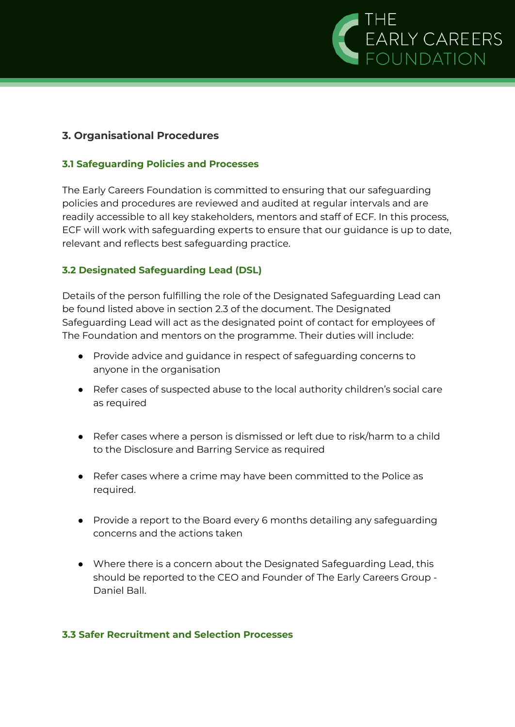

#### **3. Organisational Procedures**

#### **3.1 Safeguarding Policies and Processes**

The Early Careers Foundation is committed to ensuring that our safeguarding policies and procedures are reviewed and audited at regular intervals and are readily accessible to all key stakeholders, mentors and staff of ECF. In this process, ECF will work with safeguarding experts to ensure that our guidance is up to date, relevant and reflects best safeguarding practice.

#### **3.2 Designated Safeguarding Lead (DSL)**

Details of the person fulfilling the role of the Designated Safeguarding Lead can be found listed above in section 2.3 of the document. The Designated Safeguarding Lead will act as the designated point of contact for employees of The Foundation and mentors on the programme. Their duties will include:

- Provide advice and guidance in respect of safeguarding concerns to anyone in the organisation
- Refer cases of suspected abuse to the local authority children's social care as required
- Refer cases where a person is dismissed or left due to risk/harm to a child to the Disclosure and Barring Service as required
- Refer cases where a crime may have been committed to the Police as required.
- Provide a report to the Board every 6 months detailing any safeguarding concerns and the actions taken
- Where there is a concern about the Designated Safeguarding Lead, this should be reported to the CEO and Founder of The Early Careers Group - Daniel Ball.

#### **3.3 Safer Recruitment and Selection Processes**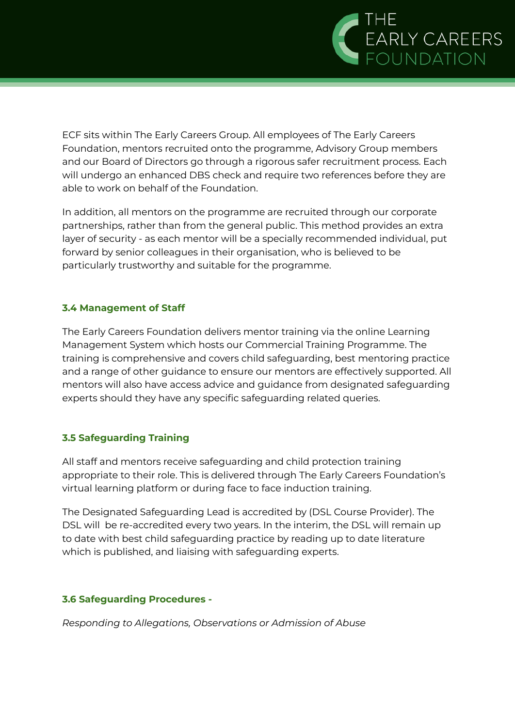

ECF sits within The Early Careers Group. All employees of The Early Careers Foundation, mentors recruited onto the programme, Advisory Group members and our Board of Directors go through a rigorous safer recruitment process. Each will undergo an enhanced DBS check and require two references before they are able to work on behalf of the Foundation.

In addition, all mentors on the programme are recruited through our corporate partnerships, rather than from the general public. This method provides an extra layer of security - as each mentor will be a specially recommended individual, put forward by senior colleagues in their organisation, who is believed to be particularly trustworthy and suitable for the programme.

#### **3.4 Management of Staff**

The Early Careers Foundation delivers mentor training via the online Learning Management System which hosts our Commercial Training Programme. The training is comprehensive and covers child safeguarding, best mentoring practice and a range of other guidance to ensure our mentors are effectively supported. All mentors will also have access advice and guidance from designated safeguarding experts should they have any specific safeguarding related queries.

## **3.5 Safeguarding Training**

All staff and mentors receive safeguarding and child protection training appropriate to their role. This is delivered through The Early Careers Foundation's virtual learning platform or during face to face induction training.

The Designated Safeguarding Lead is accredited by (DSL Course Provider). The DSL will be re-accredited every two years. In the interim, the DSL will remain up to date with best child safeguarding practice by reading up to date literature which is published, and liaising with safeguarding experts.

#### **3.6 Safeguarding Procedures -**

*Responding to Allegations, Observations or Admission of Abuse*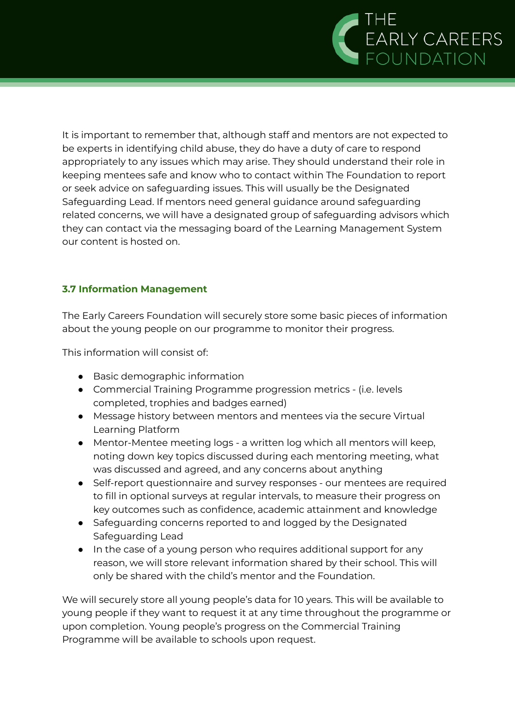

It is important to remember that, although staff and mentors are not expected to be experts in identifying child abuse, they do have a duty of care to respond appropriately to any issues which may arise. They should understand their role in keeping mentees safe and know who to contact within The Foundation to report or seek advice on safeguarding issues. This will usually be the Designated Safeguarding Lead. If mentors need general guidance around safeguarding related concerns, we will have a designated group of safeguarding advisors which they can contact via the messaging board of the Learning Management System our content is hosted on.

#### **3.7 Information Management**

The Early Careers Foundation will securely store some basic pieces of information about the young people on our programme to monitor their progress.

This information will consist of:

- Basic demographic information
- Commercial Training Programme progression metrics (i.e. levels completed, trophies and badges earned)
- Message history between mentors and mentees via the secure Virtual Learning Platform
- Mentor-Mentee meeting logs a written log which all mentors will keep, noting down key topics discussed during each mentoring meeting, what was discussed and agreed, and any concerns about anything
- Self-report questionnaire and survey responses our mentees are required to fill in optional surveys at regular intervals, to measure their progress on key outcomes such as confidence, academic attainment and knowledge
- Safeguarding concerns reported to and logged by the Designated Safeguarding Lead
- In the case of a young person who requires additional support for any reason, we will store relevant information shared by their school. This will only be shared with the child's mentor and the Foundation.

We will securely store all young people's data for 10 years. This will be available to young people if they want to request it at any time throughout the programme or upon completion. Young people's progress on the Commercial Training Programme will be available to schools upon request.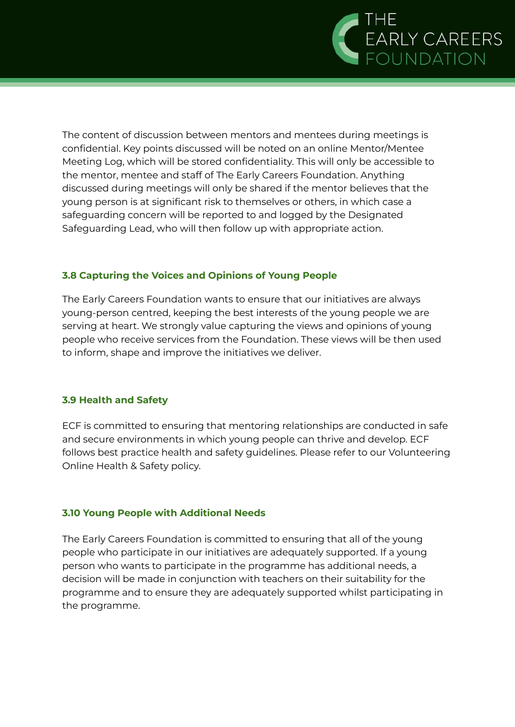

The content of discussion between mentors and mentees during meetings is confidential. Key points discussed will be noted on an online Mentor/Mentee Meeting Log, which will be stored confidentiality. This will only be accessible to the mentor, mentee and staff of The Early Careers Foundation. Anything discussed during meetings will only be shared if the mentor believes that the young person is at significant risk to themselves or others, in which case a safeguarding concern will be reported to and logged by the Designated Safeguarding Lead, who will then follow up with appropriate action.

#### **3.8 Capturing the Voices and Opinions of Young People**

The Early Careers Foundation wants to ensure that our initiatives are always young-person centred, keeping the best interests of the young people we are serving at heart. We strongly value capturing the views and opinions of young people who receive services from the Foundation. These views will be then used to inform, shape and improve the initiatives we deliver.

#### **3.9 Health and Safety**

ECF is committed to ensuring that mentoring relationships are conducted in safe and secure environments in which young people can thrive and develop. ECF follows best practice health and safety guidelines. Please refer to our Volunteering Online Health & Safety policy.

#### **3.10 Young People with Additional Needs**

The Early Careers Foundation is committed to ensuring that all of the young people who participate in our initiatives are adequately supported. If a young person who wants to participate in the programme has additional needs, a decision will be made in conjunction with teachers on their suitability for the programme and to ensure they are adequately supported whilst participating in the programme.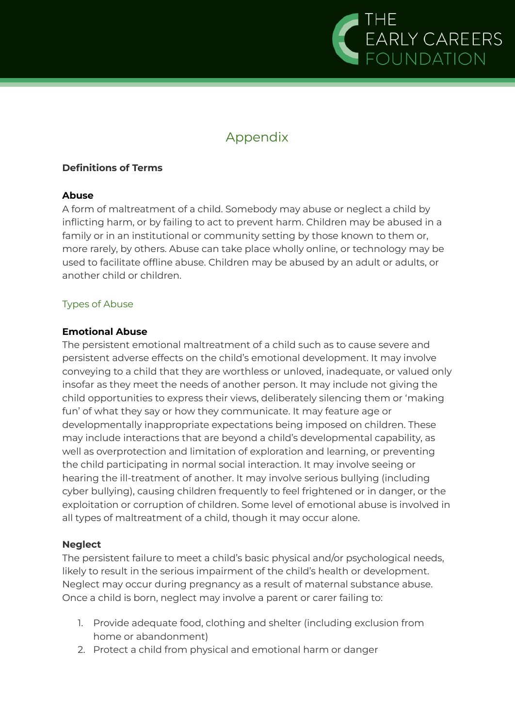

# Appendix

#### **Definitions of Terms**

#### **Abuse**

A form of maltreatment of a child. Somebody may abuse or neglect a child by inflicting harm, or by failing to act to prevent harm. Children may be abused in a family or in an institutional or community setting by those known to them or, more rarely, by others. Abuse can take place wholly online, or technology may be used to facilitate offline abuse. Children may be abused by an adult or adults, or another child or children.

#### Types of Abuse

#### **Emotional Abuse**

The persistent emotional maltreatment of a child such as to cause severe and persistent adverse effects on the child's emotional development. It may involve conveying to a child that they are worthless or unloved, inadequate, or valued only insofar as they meet the needs of another person. It may include not giving the child opportunities to express their views, deliberately silencing them or 'making fun' of what they say or how they communicate. It may feature age or developmentally inappropriate expectations being imposed on children. These may include interactions that are beyond a child's developmental capability, as well as overprotection and limitation of exploration and learning, or preventing the child participating in normal social interaction. It may involve seeing or hearing the ill-treatment of another. It may involve serious bullying (including cyber bullying), causing children frequently to feel frightened or in danger, or the exploitation or corruption of children. Some level of emotional abuse is involved in all types of maltreatment of a child, though it may occur alone.

#### **Neglect**

The persistent failure to meet a child's basic physical and/or psychological needs, likely to result in the serious impairment of the child's health or development. Neglect may occur during pregnancy as a result of maternal substance abuse. Once a child is born, neglect may involve a parent or carer failing to:

- 1. Provide adequate food, clothing and shelter (including exclusion from home or abandonment)
- 2. Protect a child from physical and emotional harm or danger